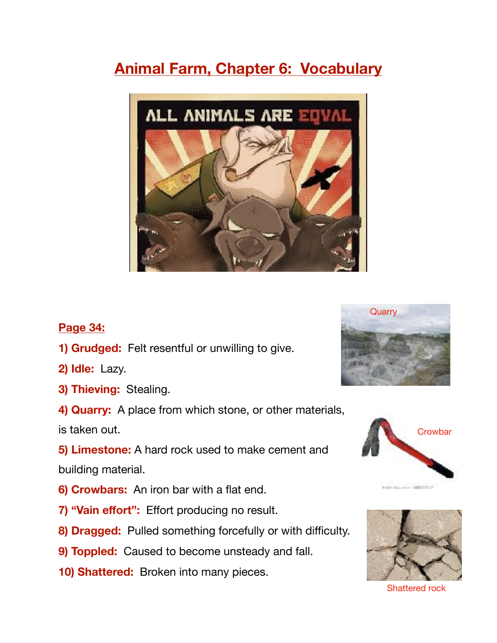# **Animal Farm, Chapter 6: Vocabulary**



## **Page 34:**

- **1) Grudged:** Felt resentful or unwilling to give.
- **2) Idle:** Lazy.
- **3) Thieving:** Stealing.
- **4) Quarry:** A place from which stone, or other materials,

is taken out.

**5) Limestone:** A hard rock used to make cement and

building material.

- **6) Crowbars:** An iron bar with a flat end.
- **7) "Vain effort":** Effort producing no result.
- **8) Dragged:** Pulled something forcefully or with difficulty.
- **9) Toppled:** Caused to become unsteady and fall.
- **10) Shattered:** Broken into many pieces.







Shattered rock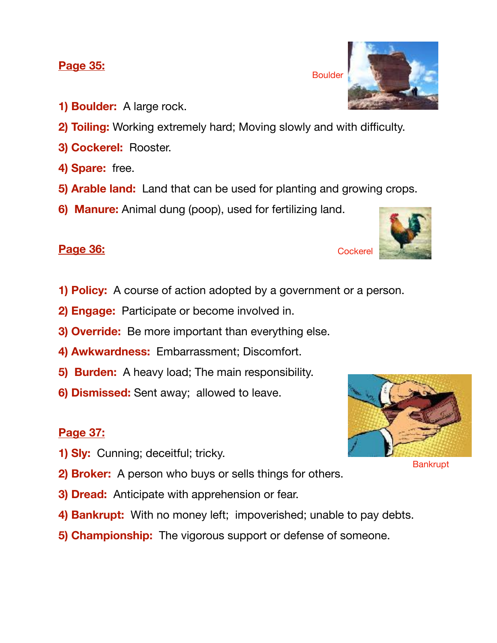### **Page 35:**

- **1) Boulder:** A large rock.
- **2) Toiling:** Working extremely hard; Moving slowly and with difficulty.
- **3) Cockerel:** Rooster.
- **4) Spare:** free.
- **5) Arable land:** Land that can be used for planting and growing crops.
- **6) Manure:** Animal dung (poop), used for fertilizing land.

# **Page 36:**

- **1) Policy:** A course of action adopted by a government or a person.
- **2) Engage:** Participate or become involved in.
- **3) Override:** Be more important than everything else.
- **4) Awkwardness:** Embarrassment; Discomfort.
- **5) Burden:** A heavy load; The main responsibility.
- **6) Dismissed:** Sent away; allowed to leave.

## **Page 37:**

- **1) Sly:** Cunning; deceitful; tricky.
- **2) Broker:** A person who buys or sells things for others.
- **3) Dread:** Anticipate with apprehension or fear.
- **4) Bankrupt:** With no money left; impoverished; unable to pay debts.
- **5) Championship:** The vigorous support or defense of someone.









**Cockerel**